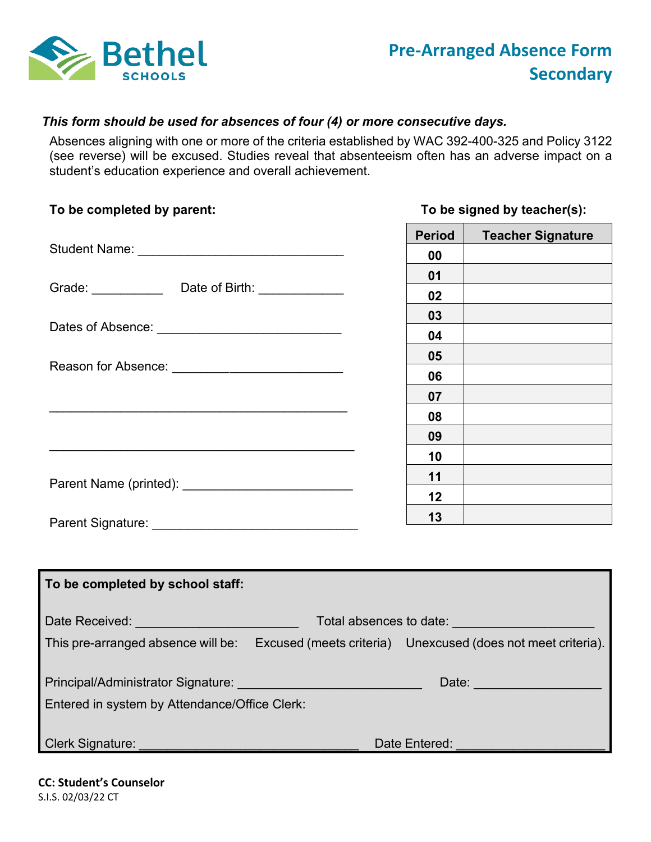

## *This form should be used for absences of four (4) or more consecutive days.*

 Absences aligning with one or more of the criteria established by WAC 392-400-325 and Policy 3122 (see reverse) will be excused. Studies reveal that absenteeism often has an adverse impact on a student's education experience and overall achievement.

## To be completed by parent: Student Name: \_\_\_\_\_\_\_\_\_\_\_\_\_\_\_\_\_\_\_\_\_\_\_\_\_\_\_\_\_ Grade: \_\_\_\_\_\_\_\_\_\_\_\_\_ Date of Birth: \_\_\_\_\_\_\_\_\_\_\_\_\_\_ Dates of Absence: \_\_\_\_\_\_\_\_\_\_\_\_\_\_\_\_\_\_\_\_\_\_\_\_\_\_ Reason for Absence: \_\_\_\_\_\_\_\_\_\_\_\_\_\_\_\_\_\_\_\_\_\_\_\_ Parent Name (printed): \_\_\_\_\_\_\_\_\_\_\_\_\_\_\_\_\_\_\_\_\_\_\_\_ Parent Signature: \_\_\_\_\_\_\_\_\_\_\_\_\_\_\_\_\_\_\_\_\_\_\_\_\_\_\_\_\_  **To be completed by school staff:**  Date Received: \_\_\_\_\_\_\_\_\_\_\_\_\_\_\_\_\_\_\_\_\_\_\_ Total absences to date: \_\_\_\_\_\_\_\_\_\_\_\_\_\_\_\_\_\_\_\_ This pre-arranged absence will be: Excused (meets criteria) Unexcused (does not meet criteria).  $\overline{\phantom{a}}$  , and the contract of the contract of the contract of the contract of the contract of the contract of the contract of the contract of the contract of the contract of the contract of the contract of the contrac  $\_$ To be signed by teacher(s): **Period | Teacher Signature 00 01 02 03 04 05 06 07 08 09 10 11 12 13**

**Experimental Date:** Date: **Date:** Production of the Contract of the Contract of the Contract of the Contract of the Contract of the Contract of the Contract of the Contract of the Contract of the Contract of the Contract Entered in system by Attendance/Office Clerk: Principal/Administrator Signature: \_\_\_\_\_\_\_\_\_\_\_\_\_\_\_\_\_\_\_\_\_\_\_\_\_\_ Date: \_\_\_\_\_\_\_\_\_\_\_\_\_\_\_\_\_\_ Clerk Signature: \_\_\_\_\_\_\_\_\_\_\_\_\_\_\_\_\_\_\_\_\_\_\_\_\_\_\_\_\_\_\_ Date Entered: \_\_\_\_\_\_\_\_\_\_\_\_\_\_\_\_\_\_\_\_\_

 **CC: Student's Counselor** S.I.S. 02/03/22 CT